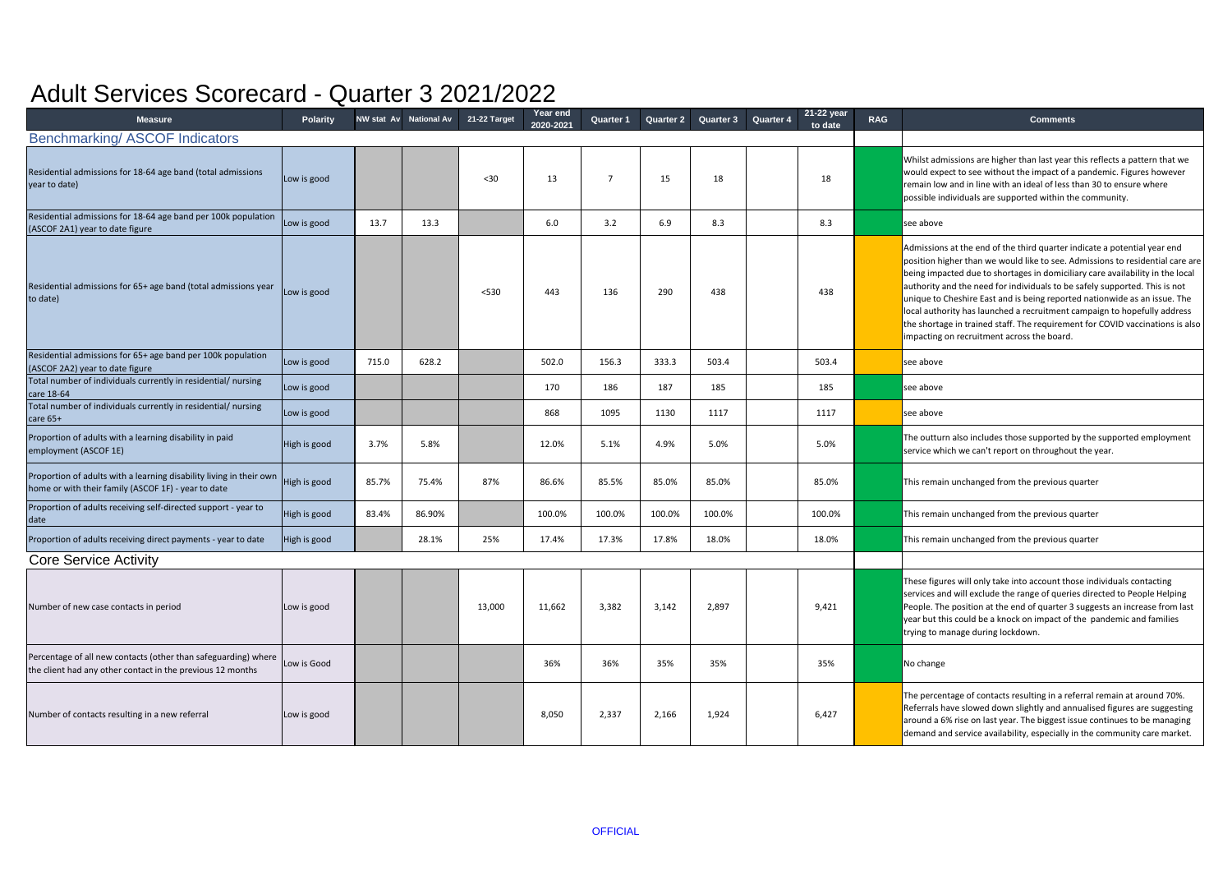| <b>Measure</b>                                                                                                               | <b>Polarity</b> |       | NW stat Av National Av | 21-22 Target | Year end<br>2020-2021 | <b>Quarter 1</b> | <b>Quarter 2</b> | Quarter 3 | 21-22 year<br><b>Quarter 4</b><br>to date | <b>RAG</b> | <b>Comments</b>                                                                                                                                                                                                                                                                                                                                                                                                                                                                                                                                                                                                  |
|------------------------------------------------------------------------------------------------------------------------------|-----------------|-------|------------------------|--------------|-----------------------|------------------|------------------|-----------|-------------------------------------------|------------|------------------------------------------------------------------------------------------------------------------------------------------------------------------------------------------------------------------------------------------------------------------------------------------------------------------------------------------------------------------------------------------------------------------------------------------------------------------------------------------------------------------------------------------------------------------------------------------------------------------|
| <b>Benchmarking/ASCOF Indicators</b>                                                                                         |                 |       |                        |              |                       |                  |                  |           |                                           |            |                                                                                                                                                                                                                                                                                                                                                                                                                                                                                                                                                                                                                  |
| Residential admissions for 18-64 age band (total admissions<br>year to date)                                                 | Low is good     |       |                        | $30$         | 13                    |                  | 15               | 18        | 18                                        |            | Whilst admissions are higher than last year this reflects a pattern that we<br>would expect to see without the impact of a pandemic. Figures however<br>remain low and in line with an ideal of less than 30 to ensure where<br>possible individuals are supported within the community.                                                                                                                                                                                                                                                                                                                         |
| Residential admissions for 18-64 age band per 100k population<br>(ASCOF 2A1) year to date figure                             | Low is good     | 13.7  | 13.3                   |              | 6.0                   | 3.2              | 6.9              | 8.3       | 8.3                                       |            | see above                                                                                                                                                                                                                                                                                                                                                                                                                                                                                                                                                                                                        |
| Residential admissions for 65+ age band (total admissions year<br>to date)                                                   | Low is good     |       |                        | < 530        | 443                   | 136              | 290              | 438       | 438                                       |            | Admissions at the end of the third quarter indicate a potential year end<br>position higher than we would like to see. Admissions to residential care are<br>being impacted due to shortages in domiciliary care availability in the local<br>authority and the need for individuals to be safely supported. This is not<br>unique to Cheshire East and is being reported nationwide as an issue. The<br>local authority has launched a recruitment campaign to hopefully address<br>the shortage in trained staff. The requirement for COVID vaccinations is also<br>impacting on recruitment across the board. |
| Residential admissions for 65+ age band per 100k population<br>(ASCOF 2A2) year to date figure                               | Low is good     | 715.0 | 628.2                  |              | 502.0                 | 156.3            | 333.3            | 503.4     | 503.4                                     |            | see above                                                                                                                                                                                                                                                                                                                                                                                                                                                                                                                                                                                                        |
| Total number of individuals currently in residential/ nursing<br>care 18-64                                                  | Low is good     |       |                        |              | 170                   | 186              | 187              | 185       | 185                                       |            | see above                                                                                                                                                                                                                                                                                                                                                                                                                                                                                                                                                                                                        |
| Total number of individuals currently in residential/ nursing<br>care 65+                                                    | Low is good     |       |                        |              | 868                   | 1095             | 1130             | 1117      | 1117                                      |            | see above                                                                                                                                                                                                                                                                                                                                                                                                                                                                                                                                                                                                        |
| Proportion of adults with a learning disability in paid<br>employment (ASCOF 1E)                                             | High is good    | 3.7%  | 5.8%                   |              | 12.0%                 | 5.1%             | 4.9%             | 5.0%      | 5.0%                                      |            | The outturn also includes those supported by the supported employment<br>service which we can't report on throughout the year.                                                                                                                                                                                                                                                                                                                                                                                                                                                                                   |
| Proportion of adults with a learning disability living in their own<br>home or with their family (ASCOF 1F) - year to date   | High is good    | 85.7% | 75.4%                  | 87%          | 86.6%                 | 85.5%            | 85.0%            | 85.0%     | 85.0%                                     |            | This remain unchanged from the previous quarter                                                                                                                                                                                                                                                                                                                                                                                                                                                                                                                                                                  |
| Proportion of adults receiving self-directed support - year to<br>date                                                       | High is good    | 83.4% | 86.90%                 |              | 100.0%                | 100.0%           | 100.0%           | 100.0%    | 100.0%                                    |            | This remain unchanged from the previous quarter                                                                                                                                                                                                                                                                                                                                                                                                                                                                                                                                                                  |
| Proportion of adults receiving direct payments - year to date                                                                | High is good    |       | 28.1%                  | 25%          | 17.4%                 | 17.3%            | 17.8%            | 18.0%     | 18.0%                                     |            | This remain unchanged from the previous quarter                                                                                                                                                                                                                                                                                                                                                                                                                                                                                                                                                                  |
| <b>Core Service Activity</b>                                                                                                 |                 |       |                        |              |                       |                  |                  |           |                                           |            |                                                                                                                                                                                                                                                                                                                                                                                                                                                                                                                                                                                                                  |
| Number of new case contacts in period                                                                                        | Low is good     |       |                        | 13,000       | 11,662                | 3,382            | 3,142            | 2,897     | 9,421                                     |            | These figures will only take into account those individuals contacting<br>services and will exclude the range of queries directed to People Helping<br>People. The position at the end of quarter 3 suggests an increase from last<br>year but this could be a knock on impact of the pandemic and families<br>trying to manage during lockdown.                                                                                                                                                                                                                                                                 |
| Percentage of all new contacts (other than safeguarding) where<br>the client had any other contact in the previous 12 months | Low is Good     |       |                        |              | 36%                   | 36%              | 35%              | 35%       | 35%                                       |            | No change                                                                                                                                                                                                                                                                                                                                                                                                                                                                                                                                                                                                        |
| Number of contacts resulting in a new referral                                                                               | Low is good     |       |                        |              | 8,050                 | 2,337            | 2,166            | 1,924     | 6,427                                     |            | The percentage of contacts resulting in a referral remain at around 70%.<br>Referrals have slowed down slightly and annualised figures are suggesting<br>around a 6% rise on last year. The biggest issue continues to be managing<br>demand and service availability, especially in the community care market.                                                                                                                                                                                                                                                                                                  |

## Adult Services Scorecard - Quarter 3 2021/2022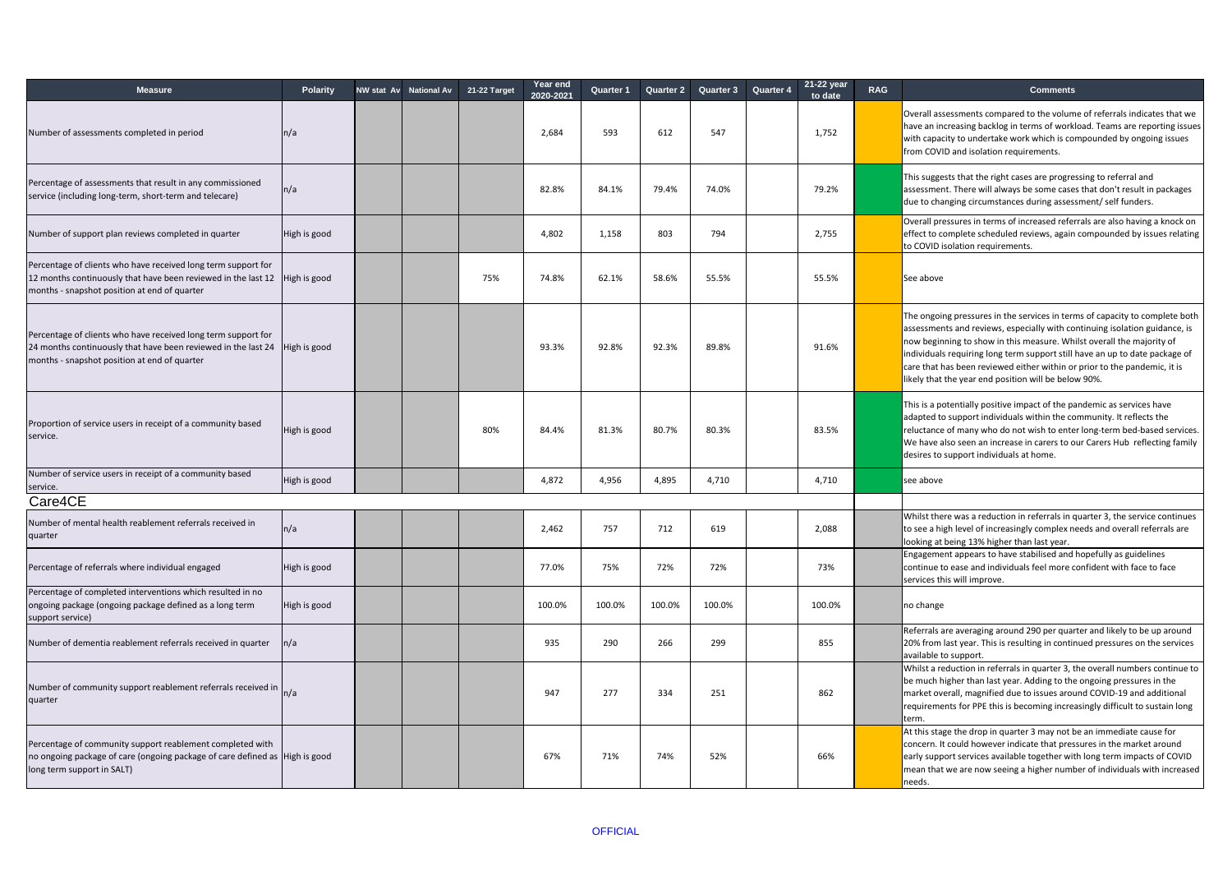| <b>Measure</b>                                                                                                                                                                                | <b>Polarity</b> | <b>NW stat Av National Av</b> | 21-22 Target | Year end<br>2020-2021 | <b>Quarter 1</b> | <b>Quarter 2</b> | <b>Quarter 3</b> | <b>Quarter 4</b> | 21-22 year<br>to date | <b>RAG</b> | <b>Comments</b>                                                                                                                                                                                                                                                                                                                                                                                                                                        |
|-----------------------------------------------------------------------------------------------------------------------------------------------------------------------------------------------|-----------------|-------------------------------|--------------|-----------------------|------------------|------------------|------------------|------------------|-----------------------|------------|--------------------------------------------------------------------------------------------------------------------------------------------------------------------------------------------------------------------------------------------------------------------------------------------------------------------------------------------------------------------------------------------------------------------------------------------------------|
| Number of assessments completed in period                                                                                                                                                     | n/a             |                               |              | 2,684                 | 593              | 612              | 547              |                  | 1,752                 |            | Overall assessments compared to the volume of referrals indicates that we<br>have an increasing backlog in terms of workload. Teams are reporting issues<br>with capacity to undertake work which is compounded by ongoing issues<br>from COVID and isolation requirements.                                                                                                                                                                            |
| Percentage of assessments that result in any commissioned<br>service (including long-term, short-term and telecare)                                                                           | n/a             |                               |              | 82.8%                 | 84.1%            | 79.4%            | 74.0%            |                  | 79.2%                 |            | This suggests that the right cases are progressing to referral and<br>assessment. There will always be some cases that don't result in packages<br>due to changing circumstances during assessment/ self funders.                                                                                                                                                                                                                                      |
| Number of support plan reviews completed in quarter                                                                                                                                           | High is good    |                               |              | 4,802                 | 1,158            | 803              | 794              |                  | 2,755                 |            | Overall pressures in terms of increased referrals are also having a knock on<br>effect to complete scheduled reviews, again compounded by issues relating<br>to COVID isolation requirements.                                                                                                                                                                                                                                                          |
| Percentage of clients who have received long term support for<br>12 months continuously that have been reviewed in the last $12$ High is good<br>months - snapshot position at end of quarter |                 |                               | 75%          | 74.8%                 | 62.1%            | 58.6%            | 55.5%            |                  | 55.5%                 |            | See above                                                                                                                                                                                                                                                                                                                                                                                                                                              |
| Percentage of clients who have received long term support for<br>24 months continuously that have been reviewed in the last $24$ High is good<br>months - snapshot position at end of quarter |                 |                               |              | 93.3%                 | 92.8%            | 92.3%            | 89.8%            |                  | 91.6%                 |            | The ongoing pressures in the services in terms of capacity to complete both<br>assessments and reviews, especially with continuing isolation guidance, is<br>now beginning to show in this measure. Whilst overall the majority of<br>individuals requiring long term support still have an up to date package of<br>care that has been reviewed either within or prior to the pandemic, it is<br>likely that the year end position will be below 90%. |
| Proportion of service users in receipt of a community based<br>service.                                                                                                                       | High is good    |                               | 80%          | 84.4%                 | 81.3%            | 80.7%            | 80.3%            |                  | 83.5%                 |            | This is a potentially positive impact of the pandemic as services have<br>adapted to support individuals within the community. It reflects the<br>reluctance of many who do not wish to enter long-term bed-based services.<br>We have also seen an increase in carers to our Carers Hub reflecting family<br>desires to support individuals at home.                                                                                                  |
| Number of service users in receipt of a community based<br>service.                                                                                                                           | High is good    |                               |              | 4,872                 | 4,956            | 4,895            | 4,710            |                  | 4,710                 |            | see above                                                                                                                                                                                                                                                                                                                                                                                                                                              |
| Care4CE                                                                                                                                                                                       |                 |                               |              |                       |                  |                  |                  |                  |                       |            |                                                                                                                                                                                                                                                                                                                                                                                                                                                        |
| Number of mental health reablement referrals received in<br>quarter                                                                                                                           | n/a             |                               |              | 2,462                 | 757              | 712              | 619              |                  | 2,088                 |            | Whilst there was a reduction in referrals in quarter 3, the service continues<br>to see a high level of increasingly complex needs and overall referrals are<br>looking at being 13% higher than last year.                                                                                                                                                                                                                                            |
| Percentage of referrals where individual engaged                                                                                                                                              | High is good    |                               |              | 77.0%                 | 75%              | 72%              | 72%              |                  | 73%                   |            | Engagement appears to have stabilised and hopefully as guidelines<br>continue to ease and individuals feel more confident with face to face<br>services this will improve.                                                                                                                                                                                                                                                                             |
| Percentage of completed interventions which resulted in no<br>ongoing package (ongoing package defined as a long term<br>support service)                                                     | High is good    |                               |              | 100.0%                | 100.0%           | 100.0%           | 100.0%           |                  | 100.0%                |            | no change                                                                                                                                                                                                                                                                                                                                                                                                                                              |
| Number of dementia reablement referrals received in quarter                                                                                                                                   | n/a             |                               |              | 935                   | 290              | 266              | 299              |                  | 855                   |            | Referrals are averaging around 290 per quarter and likely to be up around<br>20% from last year. This is resulting in continued pressures on the services<br>available to support.                                                                                                                                                                                                                                                                     |
| Number of community support reablement referrals received in $n/a$<br>quarter                                                                                                                 |                 |                               |              | 947                   | 277              | 334              | 251              |                  | 862                   |            | Whilst a reduction in referrals in quarter 3, the overall numbers continue to<br>be much higher than last year. Adding to the ongoing pressures in the<br>market overall, magnified due to issues around COVID-19 and additional<br>requirements for PPE this is becoming increasingly difficult to sustain long<br>term.                                                                                                                              |
| Percentage of community support reablement completed with<br>no ongoing package of care (ongoing package of care defined as High is good<br>long term support in SALT)                        |                 |                               |              | 67%                   | 71%              | 74%              | 52%              |                  | 66%                   |            | At this stage the drop in quarter 3 may not be an immediate cause for<br>concern. It could however indicate that pressures in the market around<br>early support services available together with long term impacts of COVID<br>mean that we are now seeing a higher number of individuals with increased<br>needs.                                                                                                                                    |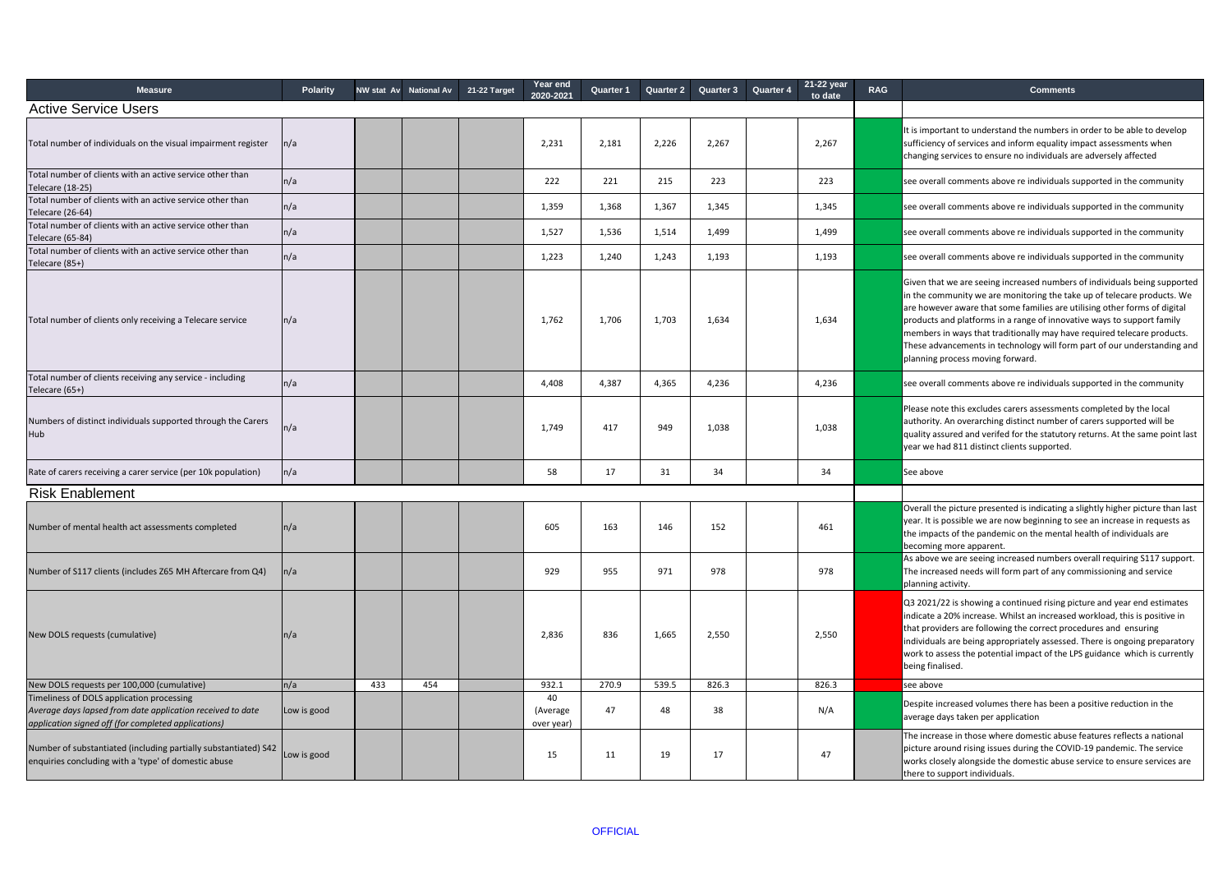| <b>Measure</b>                                                                                                                                                 | <b>Polarity</b> | NW stat Av | <b>National Av</b> | 21-22 Target | <b>Year end</b><br>2020-2021 | <b>Quarter 1</b> | <b>Quarter 2</b> | <b>Quarter 3</b> | <b>Quarter 4</b> | 21-22 year<br>to date | <b>RAG</b> | <b>Comments</b>                                                                                                                                                                                                                                                                                                                                                                                                                                                                                        |
|----------------------------------------------------------------------------------------------------------------------------------------------------------------|-----------------|------------|--------------------|--------------|------------------------------|------------------|------------------|------------------|------------------|-----------------------|------------|--------------------------------------------------------------------------------------------------------------------------------------------------------------------------------------------------------------------------------------------------------------------------------------------------------------------------------------------------------------------------------------------------------------------------------------------------------------------------------------------------------|
| <b>Active Service Users</b>                                                                                                                                    |                 |            |                    |              |                              |                  |                  |                  |                  |                       |            |                                                                                                                                                                                                                                                                                                                                                                                                                                                                                                        |
| Total number of individuals on the visual impairment register                                                                                                  | n/a             |            |                    |              | 2,231                        | 2,181            | 2,226            | 2,267            |                  | 2,267                 |            | It is important to understand the numbers in order to be able to develop<br>sufficiency of services and inform equality impact assessments when<br>changing services to ensure no individuals are adversely affected                                                                                                                                                                                                                                                                                   |
| Total number of clients with an active service other than<br>Telecare (18-25)                                                                                  | n/a             |            |                    |              | 222                          | 221              | 215              | 223              |                  | 223                   |            | see overall comments above re individuals supported in the community                                                                                                                                                                                                                                                                                                                                                                                                                                   |
| Total number of clients with an active service other than<br>Telecare (26-64)                                                                                  | n/a             |            |                    |              | 1,359                        | 1,368            | 1,367            | 1,345            |                  | 1,345                 |            | see overall comments above re individuals supported in the community                                                                                                                                                                                                                                                                                                                                                                                                                                   |
| Total number of clients with an active service other than<br>Telecare (65-84)                                                                                  | n/a             |            |                    |              | 1,527                        | 1,536            | 1,514            | 1,499            |                  | 1,499                 |            | see overall comments above re individuals supported in the community                                                                                                                                                                                                                                                                                                                                                                                                                                   |
| Total number of clients with an active service other than<br>Telecare (85+)                                                                                    | n/a             |            |                    |              | 1,223                        | 1,240            | 1,243            | 1,193            |                  | 1,193                 |            | see overall comments above re individuals supported in the community                                                                                                                                                                                                                                                                                                                                                                                                                                   |
| Total number of clients only receiving a Telecare service                                                                                                      | n/a             |            |                    |              | 1,762                        | 1,706            | 1,703            | 1,634            |                  | 1,634                 |            | Given that we are seeing increased numbers of individuals being supported<br>in the community we are monitoring the take up of telecare products. We<br>are however aware that some families are utilising other forms of digital<br>products and platforms in a range of innovative ways to support family<br>members in ways that traditionally may have required telecare products.<br>These advancements in technology will form part of our understanding and<br>planning process moving forward. |
| Total number of clients receiving any service - including<br>Telecare (65+)                                                                                    | n/a             |            |                    |              | 4,408                        | 4,387            | 4,365            | 4,236            |                  | 4,236                 |            | see overall comments above re individuals supported in the community                                                                                                                                                                                                                                                                                                                                                                                                                                   |
| Numbers of distinct individuals supported through the Carers<br>Hub                                                                                            | n/a             |            |                    |              | 1,749                        | 417              | 949              | 1,038            |                  | 1,038                 |            | Please note this excludes carers assessments completed by the local<br>authority. An overarching distinct number of carers supported will be<br>quality assured and verifed for the statutory returns. At the same point last<br>year we had 811 distinct clients supported.                                                                                                                                                                                                                           |
| Rate of carers receiving a carer service (per 10k population)                                                                                                  | n/a             |            |                    |              | 58                           | 17               | 31               | 34               |                  | 34                    |            | See above                                                                                                                                                                                                                                                                                                                                                                                                                                                                                              |
| <b>Risk Enablement</b>                                                                                                                                         |                 |            |                    |              |                              |                  |                  |                  |                  |                       |            |                                                                                                                                                                                                                                                                                                                                                                                                                                                                                                        |
| Number of mental health act assessments completed                                                                                                              | $\ln/a$         |            |                    |              | 605                          | 163              | 146              | 152              |                  | 461                   |            | Overall the picture presented is indicating a slightly higher picture than last<br>year. It is possible we are now beginning to see an increase in requests as<br>the impacts of the pandemic on the mental health of individuals are<br>becoming more apparent.                                                                                                                                                                                                                                       |
| Number of S117 clients (includes Z65 MH Aftercare from Q4)                                                                                                     | n/a             |            |                    |              | 929                          | 955              | 971              | 978              |                  | 978                   |            | As above we are seeing increased numbers overall requiring S117 support.<br>The increased needs will form part of any commissioning and service<br>planning activity.                                                                                                                                                                                                                                                                                                                                  |
| New DOLS requests (cumulative)                                                                                                                                 | n/a             |            |                    |              | 2,836                        | 836              | 1,665            | 2,550            |                  | 2,550                 |            | Q3 2021/22 is showing a continued rising picture and year end estimates<br>indicate a 20% increase. Whilst an increased workload, this is positive in<br>that providers are following the correct procedures and ensuring<br>individuals are being appropriately assessed. There is ongoing preparatory<br>work to assess the potential impact of the LPS guidance which is currently<br>being finalised.                                                                                              |
| New DOLS requests per 100,000 (cumulative)                                                                                                                     | n/a             | 433        | 454                |              | 932.1                        | 270.9            | 539.5            | 826.3            |                  | 826.3                 |            | see above                                                                                                                                                                                                                                                                                                                                                                                                                                                                                              |
| Timeliness of DOLS application processing<br>Average days lapsed from date application received to date<br>application signed off (for completed applications) | Low is good     |            |                    |              | 40<br>(Average<br>over year) | 47               | 48               | 38               |                  | N/A                   |            | Despite increased volumes there has been a positive reduction in the<br>average days taken per application                                                                                                                                                                                                                                                                                                                                                                                             |
| Number of substantiated (including partially substantiated) S42<br>enquiries concluding with a 'type' of domestic abuse                                        | Low is good     |            |                    |              | 15                           | 11               | 19               | 17               |                  | 47                    |            | The increase in those where domestic abuse features reflects a national<br>picture around rising issues during the COVID-19 pandemic. The service<br>works closely alongside the domestic abuse service to ensure services are<br>there to support individuals.                                                                                                                                                                                                                                        |